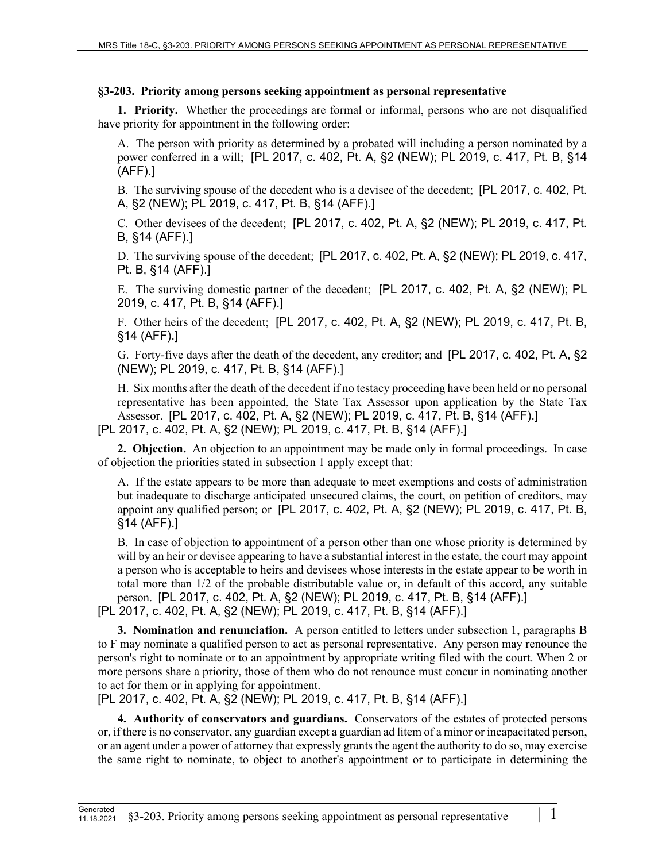## **§3-203. Priority among persons seeking appointment as personal representative**

**1. Priority.** Whether the proceedings are formal or informal, persons who are not disqualified have priority for appointment in the following order:

A. The person with priority as determined by a probated will including a person nominated by a power conferred in a will; [PL 2017, c. 402, Pt. A, §2 (NEW); PL 2019, c. 417, Pt. B, §14 (AFF).]

B. The surviving spouse of the decedent who is a devisee of the decedent; [PL 2017, c. 402, Pt. A, §2 (NEW); PL 2019, c. 417, Pt. B, §14 (AFF).]

C. Other devisees of the decedent; [PL 2017, c. 402, Pt. A, §2 (NEW); PL 2019, c. 417, Pt. B, §14 (AFF).]

D. The surviving spouse of the decedent; [PL 2017, c. 402, Pt. A, §2 (NEW); PL 2019, c. 417, Pt. B, §14 (AFF).]

E. The surviving domestic partner of the decedent; [PL 2017, c. 402, Pt. A, §2 (NEW); PL 2019, c. 417, Pt. B, §14 (AFF).]

F. Other heirs of the decedent; [PL 2017, c. 402, Pt. A, §2 (NEW); PL 2019, c. 417, Pt. B, §14 (AFF).]

G. Forty-five days after the death of the decedent, any creditor; and [PL 2017, c. 402, Pt. A, §2 (NEW); PL 2019, c. 417, Pt. B, §14 (AFF).]

H. Six months after the death of the decedent if no testacy proceeding have been held or no personal representative has been appointed, the State Tax Assessor upon application by the State Tax Assessor. [PL 2017, c. 402, Pt. A, §2 (NEW); PL 2019, c. 417, Pt. B, §14 (AFF).]

[PL 2017, c. 402, Pt. A, §2 (NEW); PL 2019, c. 417, Pt. B, §14 (AFF).]

**2. Objection.** An objection to an appointment may be made only in formal proceedings. In case of objection the priorities stated in subsection 1 apply except that:

A. If the estate appears to be more than adequate to meet exemptions and costs of administration but inadequate to discharge anticipated unsecured claims, the court, on petition of creditors, may appoint any qualified person; or  $[PL 2017, c. 402, Pt. A, §2 (NEW); PL 2019, c. 417, Pt. B,$ §14 (AFF).]

B. In case of objection to appointment of a person other than one whose priority is determined by will by an heir or devisee appearing to have a substantial interest in the estate, the court may appoint a person who is acceptable to heirs and devisees whose interests in the estate appear to be worth in total more than 1/2 of the probable distributable value or, in default of this accord, any suitable person. [PL 2017, c. 402, Pt. A, §2 (NEW); PL 2019, c. 417, Pt. B, §14 (AFF).] [PL 2017, c. 402, Pt. A, §2 (NEW); PL 2019, c. 417, Pt. B, §14 (AFF).]

**3. Nomination and renunciation.** A person entitled to letters under subsection 1, paragraphs B

to F may nominate a qualified person to act as personal representative. Any person may renounce the person's right to nominate or to an appointment by appropriate writing filed with the court. When 2 or more persons share a priority, those of them who do not renounce must concur in nominating another to act for them or in applying for appointment.

[PL 2017, c. 402, Pt. A, §2 (NEW); PL 2019, c. 417, Pt. B, §14 (AFF).]

**4. Authority of conservators and guardians.** Conservators of the estates of protected persons or, if there is no conservator, any guardian except a guardian ad litem of a minor or incapacitated person, or an agent under a power of attorney that expressly grants the agent the authority to do so, may exercise the same right to nominate, to object to another's appointment or to participate in determining the